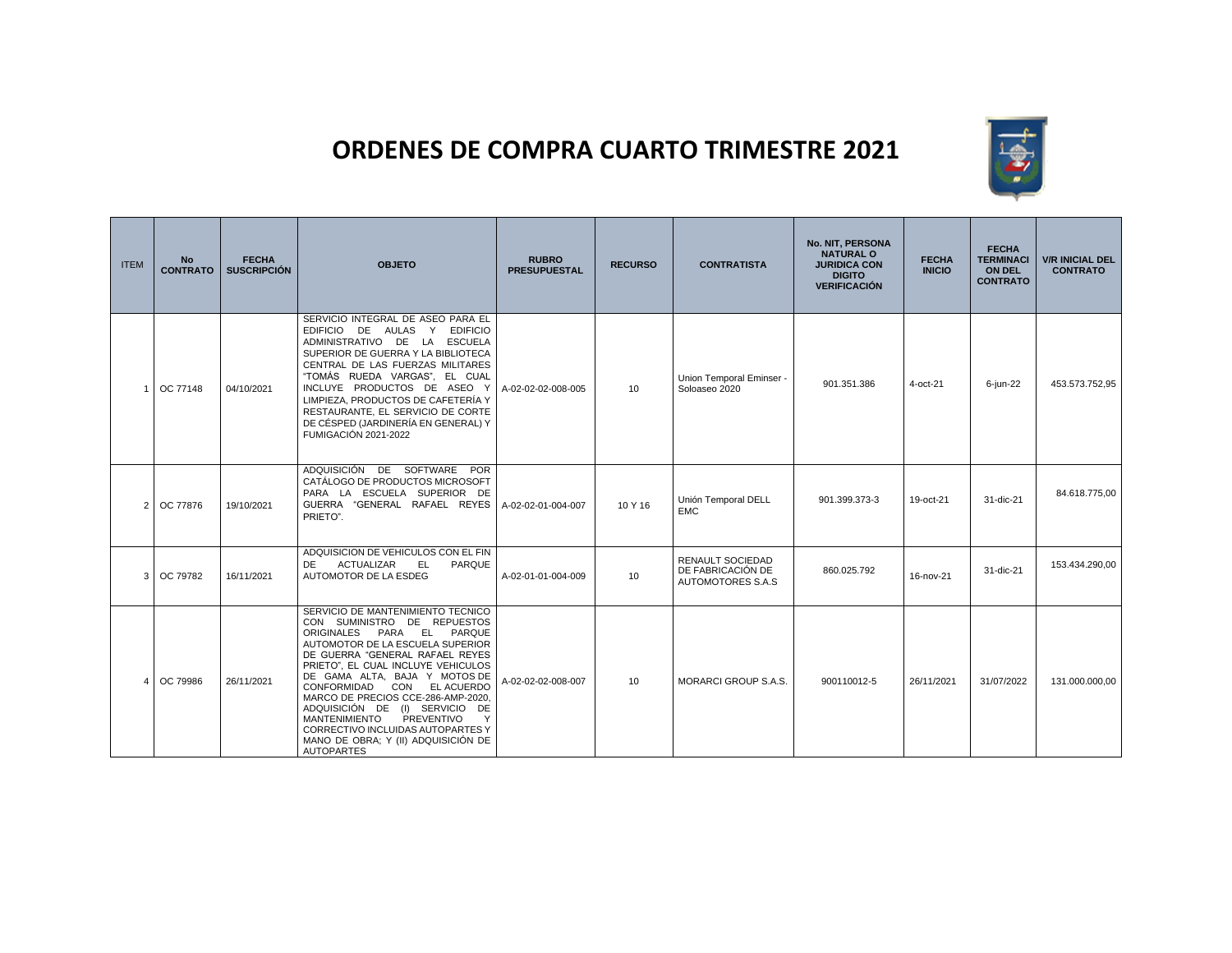## **ORDENES DE COMPRA CUARTO TRIMESTRE 2021**



| <b>ITEM</b>    | <b>No</b><br><b>CONTRATO</b> | <b>FECHA</b><br><b>SUSCRIPCIÓN</b> | <b>OBJETO</b>                                                                                                                                                                                                                                                                                                                                                                                                                                                                                    | <b>RUBRO</b><br><b>PRESUPUESTAL</b> | <b>RECURSO</b>  | <b>CONTRATISTA</b>                                         | No. NIT, PERSONA<br><b>NATURAL O</b><br><b>JURIDICA CON</b><br><b>DIGITO</b><br><b>VERIFICACIÓN</b> | <b>FECHA</b><br><b>INICIO</b> | <b>FECHA</b><br><b>TERMINACI</b><br><b>ON DEL</b><br><b>CONTRATO</b> | <b>V/R INICIAL DEL</b><br><b>CONTRATO</b> |
|----------------|------------------------------|------------------------------------|--------------------------------------------------------------------------------------------------------------------------------------------------------------------------------------------------------------------------------------------------------------------------------------------------------------------------------------------------------------------------------------------------------------------------------------------------------------------------------------------------|-------------------------------------|-----------------|------------------------------------------------------------|-----------------------------------------------------------------------------------------------------|-------------------------------|----------------------------------------------------------------------|-------------------------------------------|
| 1              | OC 77148                     | 04/10/2021                         | SERVICIO INTEGRAL DE ASEO PARA EL<br>EDIFICIO DE AULAS Y EDIFICIO<br>ADMINISTRATIVO DE LA ESCUELA<br>SUPERIOR DE GUERRA Y LA BIBLIOTECA<br>CENTRAL DE LAS FUERZAS MILITARES<br>"TOMÁS RUEDA VARGAS". EL CUAL<br>INCLUYE PRODUCTOS DE ASEO Y<br>LIMPIEZA. PRODUCTOS DE CAFETERÍA Y<br>RESTAURANTE. EL SERVICIO DE CORTE<br>DE CÉSPED (JARDINERÍA EN GENERAL) Y<br><b>FUMIGACIÓN 2021-2022</b>                                                                                                     | A-02-02-02-008-005                  | 10 <sup>1</sup> | Union Temporal Eminser -<br>Soloaseo 2020                  | 901.351.386                                                                                         | 4-oct-21                      | 6-jun-22                                                             | 453.573.752,95                            |
| 2 <sup>1</sup> | OC 77876                     | 19/10/2021                         | ADQUISICIÓN DE SOFTWARE<br><b>POR</b><br>CATÁLOGO DE PRODUCTOS MICROSOFT<br>PARA LA ESCUELA SUPERIOR DE<br>GUERRA "GENERAL RAFAEL REYES<br>PRIETO".                                                                                                                                                                                                                                                                                                                                              | A-02-02-01-004-007                  | 10 Y 16         | Unión Temporal DELL<br><b>EMC</b>                          | 901.399.373-3                                                                                       | 19-oct-21                     | 31-dic-21                                                            | 84.618.775.00                             |
|                | 3 OC 79782                   | 16/11/2021                         | ADQUISICION DE VEHICULOS CON EL FIN<br>ACTUALIZAR<br><b>DE</b><br>EL.<br>PARQUE<br>AUTOMOTOR DE LA ESDEG                                                                                                                                                                                                                                                                                                                                                                                         | A-02-01-01-004-009                  | 10              | RENAULT SOCIEDAD<br>DE FABRICACIÓN DE<br>AUTOMOTORES S.A.S | 860.025.792                                                                                         | 16-nov-21                     | 31-dic-21                                                            | 153.434.290,00                            |
| 4              | OC 79986                     | 26/11/2021                         | SERVICIO DE MANTENIMIENTO TECNICO<br>CON SUMINISTRO DE REPUESTOS<br>ORIGINALES PARA EL<br>PARQUE<br>AUTOMOTOR DE LA ESCUELA SUPERIOR<br>DE GUERRA "GENERAL RAFAEL REYES<br>PRIETO", EL CUAL INCLUYE VEHICULOS<br>DE GAMA ALTA, BAJA Y MOTOS DE<br>CONFORMIDAD CON EL ACUERDO<br>MARCO DE PRECIOS CCE-286-AMP-2020,<br>ADQUISICIÓN DE (I) SERVICIO DE<br><b>MANTENIMIENTO</b><br>PREVENTIVO<br>Y<br>CORRECTIVO INCLUIDAS AUTOPARTES Y<br>MANO DE OBRA; Y (II) ADQUISICIÓN DE<br><b>AUTOPARTES</b> | A-02-02-02-008-007                  | 10              | <b>MORARCI GROUP S.A.S.</b>                                | 900110012-5                                                                                         | 26/11/2021                    | 31/07/2022                                                           | 131.000.000,00                            |